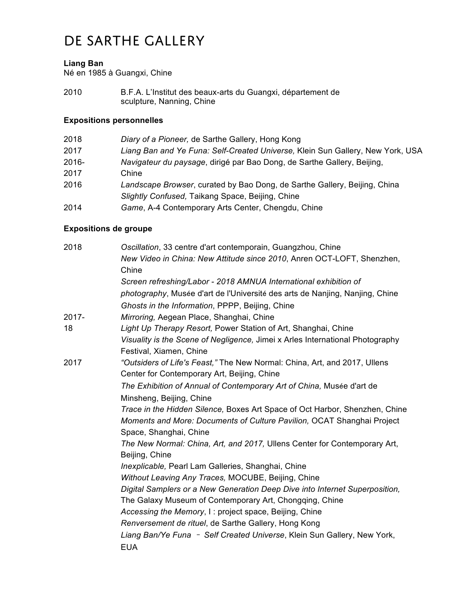## De Sarthe Gallery

#### **Liang Ban**

Né en 1985 à Guangxi, Chine

2010 B.F.A. L'Institut des beaux-arts du Guangxi, département de sculpture, Nanning, Chine

## **Expositions personnelles**

| 2018  | Diary of a Pioneer, de Sarthe Gallery, Hong Kong                               |
|-------|--------------------------------------------------------------------------------|
| 2017  | Liang Ban and Ye Funa: Self-Created Universe, Klein Sun Gallery, New York, USA |
| 2016- | Navigateur du paysage, dirigé par Bao Dong, de Sarthe Gallery, Beijing,        |
| 2017  | Chine                                                                          |
| 2016  | Landscape Browser, curated by Bao Dong, de Sarthe Gallery, Beijing, China      |
|       | Slightly Confused, Taikang Space, Beijing, Chine                               |
| 2014  | Game, A-4 Contemporary Arts Center, Chengdu, Chine                             |

### **Expositions de groupe**

| Oscillation, 33 centre d'art contemporain, Guangzhou, Chine<br>New Video in China: New Attitude since 2010, Anren OCT-LOFT, Shenzhen,<br>Chine                                                      |
|-----------------------------------------------------------------------------------------------------------------------------------------------------------------------------------------------------|
| Screen refreshing/Labor - 2018 AMNUA International exhibition of<br>photography, Musée d'art de l'Université des arts de Nanjing, Nanjing, Chine<br>Ghosts in the Information, PPPP, Beijing, Chine |
| Mirroring, Aegean Place, Shanghai, Chine                                                                                                                                                            |
| Light Up Therapy Resort, Power Station of Art, Shanghai, Chine                                                                                                                                      |
| Visuality is the Scene of Negligence, Jimei x Arles International Photography<br>Festival, Xiamen, Chine                                                                                            |
| "Outsiders of Life's Feast," The New Normal: China, Art, and 2017, Ullens<br>Center for Contemporary Art, Beijing, Chine                                                                            |
| The Exhibition of Annual of Contemporary Art of China, Musée d'art de<br>Minsheng, Beijing, Chine                                                                                                   |
| Trace in the Hidden Silence, Boxes Art Space of Oct Harbor, Shenzhen, Chine                                                                                                                         |
| Moments and More: Documents of Culture Pavilion, OCAT Shanghai Project<br>Space, Shanghai, Chine                                                                                                    |
| The New Normal: China, Art, and 2017, Ullens Center for Contemporary Art,<br>Beijing, Chine                                                                                                         |
| Inexplicable, Pearl Lam Galleries, Shanghai, Chine                                                                                                                                                  |
| Without Leaving Any Traces, MOCUBE, Beijing, Chine                                                                                                                                                  |
| Digital Samplers or a New Generation Deep Dive into Internet Superposition,<br>The Galaxy Museum of Contemporary Art, Chongqing, Chine                                                              |
| Accessing the Memory, I: project space, Beijing, Chine                                                                                                                                              |
| Renversement de rituel, de Sarthe Gallery, Hong Kong                                                                                                                                                |
| Liang Ban/Ye Funa - Self Created Universe, Klein Sun Gallery, New York,<br><b>EUA</b>                                                                                                               |
|                                                                                                                                                                                                     |